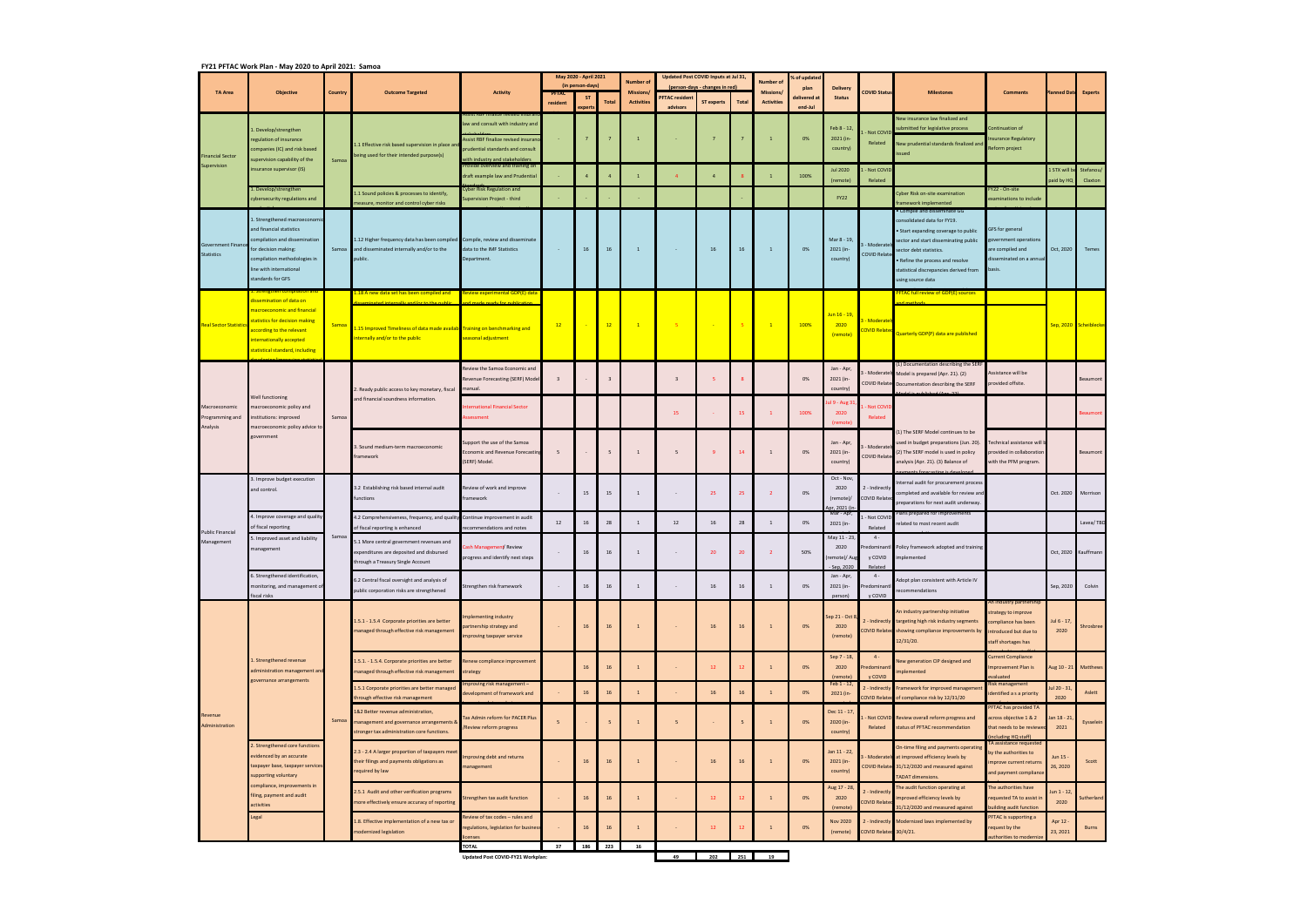## **FY21 PFTAC Work Plan ‐ May 2020 to April 2021: Samoa**

|                                               | <b>Objective</b>                                                                                                                                                                                                                                                                       | <b>Country</b> | <b>Outcome Targeted</b>                                                                                                              | <b>Activity</b>                                                                                                                                                                                                     | May 2020 - April 2021<br>(in person-days) |       | <b>Number of</b> | Updated Post COVID Inputs at Jul 31,<br>(person-days - changes in red) |                                   | Number of                        | 6 of updated    |                                      |                                |                                                        |                                             |                                                                                                                                                                                                                                            |                                                                                                                    |                      |                       |
|-----------------------------------------------|----------------------------------------------------------------------------------------------------------------------------------------------------------------------------------------------------------------------------------------------------------------------------------------|----------------|--------------------------------------------------------------------------------------------------------------------------------------|---------------------------------------------------------------------------------------------------------------------------------------------------------------------------------------------------------------------|-------------------------------------------|-------|------------------|------------------------------------------------------------------------|-----------------------------------|----------------------------------|-----------------|--------------------------------------|--------------------------------|--------------------------------------------------------|---------------------------------------------|--------------------------------------------------------------------------------------------------------------------------------------------------------------------------------------------------------------------------------------------|--------------------------------------------------------------------------------------------------------------------|----------------------|-----------------------|
| <b>TA Area</b>                                |                                                                                                                                                                                                                                                                                        |                |                                                                                                                                      |                                                                                                                                                                                                                     | resident                                  | xpert | <b>Total</b>     | <b>Missions/</b><br><b>Activities</b>                                  | <b>PFTAC resident</b><br>advisors | ST experts                       | <b>Total</b>    | <b>Missions</b><br><b>Activities</b> | plan<br>delivered a<br>end-Jul | <b>Delivery</b><br><b>Status</b>                       | <b>COVID Status</b>                         | <b>Milestones</b>                                                                                                                                                                                                                          | <b>Comments</b>                                                                                                    | <b>Planned Date</b>  | <b>Experts</b>        |
| <b>Financial Sector</b><br>Supervision        | Develop/strengthen<br>egulation of insurance<br>companies (IC) and risk based<br>supervision capability of the<br>insurance supervisor (IS)<br>1. Develop/strengthen<br>cybersecurity regulations and                                                                                  | Samoa          | L.1 Effective risk based supervision in place an<br>being used for their intended purpose(s)                                         | aw and consult with industry and<br>Assist RBF finalize revised insuran<br>prudential standards and consult<br>with industry and stakeholders<br>ovide overview and training or<br>draft example law and Prudential |                                           |       | $\overline{a}$   | $\mathbf{1}$<br>$\overline{1}$                                         | $\Delta$                          | $\overline{7}$<br>$\overline{a}$ |                 | $\mathbf{1}$<br>$\mathbf{1}$         | 0%<br>100%                     | Feb 8 - 12<br>2021 (in-<br>country)<br><b>Jul 2020</b> | Not COVID<br>Related<br>- Not COVII         | New insurance law finalized and<br>submitted for legislative process<br>New prudential standards finalized and<br>ssued                                                                                                                    | Continuation of<br>nsurance Regulatory<br>Reform project                                                           | 1 STX will be        | Stefanou/             |
|                                               |                                                                                                                                                                                                                                                                                        |                | 1.1 Sound policies & processes to identify,                                                                                          | yber Risk Regulation and                                                                                                                                                                                            |                                           |       |                  |                                                                        |                                   |                                  |                 |                                      |                                | (remote)                                               | Related                                     | Cyber Risk on-site examination                                                                                                                                                                                                             | Y22 - On-site                                                                                                      | paid by HQ           | Claxton               |
|                                               |                                                                                                                                                                                                                                                                                        |                | measure, monitor and control cyber risks                                                                                             | upervision Project - third                                                                                                                                                                                          |                                           |       |                  |                                                                        |                                   |                                  |                 |                                      |                                | <b>FY22</b>                                            |                                             | ramework implemented<br>. Compile and disseminate GG                                                                                                                                                                                       | examinations to include                                                                                            |                      |                       |
| <b>Government Finand</b><br><b>Statistics</b> | L. Strengthened macroeconomi<br>and financial statistics<br>compilation and dissemination<br>for decision making:<br>compilation methodologies in<br>line with international<br>standards for GFS                                                                                      | Samoa          | 1.12 Higher frequency data has been compiled Compile, review and disseminate<br>and disseminated internally and/or to the<br>public. | data to the IMF Statistics<br>Department.                                                                                                                                                                           | $\sim$                                    | 16    | 16               | $\mathbf{1}$                                                           | $\sim$                            | 16                               | 16              | $\mathbf{1}$                         | 0%                             | Mar 8 - 19<br>2021 (in-<br>country)                    | - Moderately<br><b>COVID Relate</b>         | consolidated data for FY19.<br>· Start expanding coverage to public<br>sector and start disseminating public<br>sector debt statistics.<br>. Refine the process and resolve<br>statistical discrepancies derived from<br>using source data | <b>GFS</b> for general<br>vernment operations<br>are compiled and<br>disseminated on a annua<br>basis.             | Oct, 2020            | Temes                 |
| <b>Real Sector Statistic</b>                  | dissemination of data on<br>nacroeconomic and financial<br>statistics for decision making<br>according to the relevant<br>internationally accepted<br>statistical standard, including                                                                                                  | <b>Samoa</b>   | L.18 A new data set has been compiled and                                                                                            | Review experimental GDP(E) data                                                                                                                                                                                     |                                           |       |                  |                                                                        |                                   |                                  |                 |                                      |                                | Jun 16 - 19,<br><u>- Moderate</u><br>2020<br>(remote)  |                                             | <b>PFTAC full review of GDP(E) sources</b>                                                                                                                                                                                                 |                                                                                                                    |                      |                       |
|                                               |                                                                                                                                                                                                                                                                                        |                | 1.15 Improved Timeliness of data made availab Training on benchmarking and<br>internally and/or to the public                        | seasonal adjustment                                                                                                                                                                                                 | 12                                        |       | 12               | $\overline{1}$                                                         | $-5$                              |                                  |                 | $\mathbf{1}$                         | 100%                           |                                                        |                                             | COVID Related Quarterly GDP(P) data are published                                                                                                                                                                                          |                                                                                                                    |                      | Sep, 2020 Scheiblecke |
| Macroeconomic<br>Programming and<br>Analysis  | Well functioning<br>macroeconomic policy and<br>institutions: improved<br>macroeconomic policy advice to<br>government                                                                                                                                                                 | Samoa          | . Ready public access to key monetary, fiscal<br>and financial soundness information.                                                | Review the Samoa Economic and<br>Revenue Forecasting (SERF) Model<br>manual                                                                                                                                         | $\overline{\mathbf{3}}$                   |       | $\mathbf{3}$     |                                                                        | $\overline{\mathbf{3}}$           | -5                               |                 |                                      | 0%                             | Jan - Apr,<br>2021 (in-<br>country)                    |                                             | (1) Documentation describing the SERF<br>- Moderately Model is prepared (Apr. 21). (2)<br>COVID Relater Documentation describing the SERF                                                                                                  | Assistance will be<br>provided offsite.                                                                            |                      | Beaumont              |
|                                               |                                                                                                                                                                                                                                                                                        |                |                                                                                                                                      | <b>Iternational Financial Sector</b><br>ssessment                                                                                                                                                                   |                                           |       |                  |                                                                        | 15                                |                                  |                 | $\mathbf{1}$                         | 100%                           | il 9 - Aug 3<br>2020<br>(remote)                       | Not COVI<br>Related                         |                                                                                                                                                                                                                                            |                                                                                                                    |                      | eaumont               |
|                                               |                                                                                                                                                                                                                                                                                        |                | . Sound medium-term macroeconomic<br>framework                                                                                       | Support the use of the Samoa<br><b>Economic and Revenue Forecastin</b><br>SERF) Model.                                                                                                                              | 5                                         |       | 5                | 1                                                                      | 5                                 | -9                               |                 | $\mathbf{1}$                         | 0%                             | Jan - Apr,<br>2021 (in-<br>country)                    | - Moderatel<br><b>COVID Relate</b>          | (1) The SERF Model continues to be<br>used in budget preparations (Jun. 20).<br>(2) The SERF model is used in policy<br>analysis (Apr. 21). (3) Balance of                                                                                 | echnical assistance will b<br>rovided in collaboratior<br>with the PFM program.                                    |                      | Beaumont              |
| <b>Public Financial</b><br>Management         | 3. Improve budget execution<br>and control.<br>4. Improve coverage and quality<br>of fiscal reporting<br>5. Improved asset and liability<br>nanagement<br>6. Strengthened identification,<br>nonitoring, and management of<br>fiscal risks                                             | Samoa          | 3.2 Establishing risk based internal audit<br>functions                                                                              | Review of work and improve<br><b>iramework</b>                                                                                                                                                                      |                                           | 15    | 15               | 1                                                                      | $\overline{\phantom{a}}$          | 25                               | 25              | $\overline{2}$                       | 0%                             | Oct - Nov<br>2020<br>(remote)<br>or. 2021 (            | 2 - Indirectly<br>COVID Relate              | nternal audit for procurement process<br>completed and available for review and<br>preparations for next audit underway.                                                                                                                   |                                                                                                                    | Oct. 2020            | Morrison              |
|                                               |                                                                                                                                                                                                                                                                                        |                | 4.2 Comprehensiveness, frequency, and qualit<br>of fiscal reporting is enhanced                                                      | Continue improvement in audit<br>recommendations and notes                                                                                                                                                          | 12                                        | 16    | 28               | 1                                                                      | 12                                | 16                               | 28              | $\mathbf{1}$                         | 0%                             | Mar - Apr<br>2021 (in-                                 | - Not COVID<br>Related                      | lans prepared for improvements<br>related to most recent audit                                                                                                                                                                             |                                                                                                                    |                      | Lavea/TBD             |
|                                               |                                                                                                                                                                                                                                                                                        |                | 5.1 More central government revenues and<br>expenditures are deposited and disbursed<br>hrough a Treasury Single Account             | ash Management/ Review<br>progress and identify next steps                                                                                                                                                          |                                           | 16    | 16               | $\overline{1}$                                                         |                                   | 20                               | 20              |                                      | 50%                            | May 11 - 23<br>2020<br>remote)/ Aug<br>$-$ Sep. 2020   | $4 -$<br>Predominantl<br>y COVID<br>Related | Policy framework adopted and training<br>implemented                                                                                                                                                                                       |                                                                                                                    |                      | Oct, 2020 Kauffmann   |
|                                               |                                                                                                                                                                                                                                                                                        |                | 6.2 Central fiscal oversight and analysis of<br>public corporation risks are strengthened                                            | Strengthen risk framework                                                                                                                                                                                           |                                           | 16    | 16               | $\mathbf{1}$                                                           | $\overline{\phantom{a}}$          | 16                               | 16              | $\mathbf{1}$                         | 0%                             | Jan - Apr,<br>2021 (in-<br>person)                     | $4 -$<br>Predominant<br>y COVID             | Adopt plan consistent with Article IV<br>ecommendations                                                                                                                                                                                    |                                                                                                                    | Sep, 2020            | Colvin                |
| Revenue<br>Administration                     | . Strengthened revenue<br>administration management and<br>governance arrangements<br>2. Strengthened core functions<br>evidenced by an accurate<br>taxpayer base, taxpayer services<br>supporting voluntary<br>compliance, improvements in<br>filing, payment and audit<br>activities | Samoa          | 1.5.1 - 1.5.4 Corporate priorities are better<br>managed through effective risk management                                           | mplementing industry<br>artnership strategy and<br>mproving taxpayer service                                                                                                                                        |                                           | 16    | 16               | $\mathbf{1}$                                                           | $\sim$                            | 16                               | 16              | $\mathbf{1}$                         | 0%                             | Sep 21 - Oct<br>2020<br>(remote)                       |                                             | An industry partnership initiative<br>2 - Indirectly targeting high risk industry segments<br>COVID Related showing compliance improvements by<br>12/31/20.                                                                                | An industry partnership<br>trategy to improve<br>ompliance has been<br>ntroduced but due to<br>staff shortages has | Jul 6 - 17,<br>2020  | Shrosbree             |
|                                               |                                                                                                                                                                                                                                                                                        |                | 1.5.1. - 1.5.4. Corporate priorities are better<br>managed through effective risk management                                         | Renew compliance improvement<br>strategy                                                                                                                                                                            |                                           | 16    | 16               | $\mathbf{1}$                                                           | $\sim$                            | 12 <sup>°</sup>                  | 12 <sup>2</sup> | $\mathbf{1}$                         | 0%                             | Sep 7 - 18<br>2020<br>(remote)                         | $4 -$<br>redominant<br>y COVID              | lew generation CIP designed and<br>nplemented                                                                                                                                                                                              | urrent Compliance<br>mprovement Plan is<br>valuated                                                                | ug 10 - 21           | Matthews              |
|                                               |                                                                                                                                                                                                                                                                                        |                | 1.5.1 Corporate priorities are better managed<br>through effective risk management                                                   | proving risk management -<br>development of framework and                                                                                                                                                           |                                           | 16    | 16               | 1                                                                      | $\omega$                          | 16                               | 16              | $\mathbf{1}$                         | 0%                             | -eb 1 - 12<br>2021 (in-                                |                                             | 2 - Indirectly Framework for improved managemen<br>COVID Related of compliance risk by 12/31/20                                                                                                                                            | isk management<br>dentified a s a priority                                                                         | ul 20 - 31<br>2020   | Aslett                |
|                                               |                                                                                                                                                                                                                                                                                        |                | 1&2 Better revenue administration,<br>management and governance arrangements &<br>stronger tax administration core functions.        | <b>Tax Admin reform for PACER Plus</b><br><b>Review reform progress</b>                                                                                                                                             | 5                                         |       | 5                | $\mathbf{1}$                                                           | 5                                 | $\sim$                           |                 | $\mathbf{1}$                         | 0%                             | Dec 11 - 17<br>2020 (in-<br>country)                   | Related                                     | Not COVID Review overall reform progress and<br>status of PFTAC recommendation                                                                                                                                                             | PFTAC has provided TA<br>cross objective 1 & 2<br>that needs to be reviewe<br>ncluding HQ staff)                   | in 18 - 21<br>2021   | Eysselein             |
|                                               |                                                                                                                                                                                                                                                                                        |                | 2.3 - 2.4 A larger proportion of taxpayers meet<br>their filings and payments obligations as<br>required by law                      | nproving debt and returns<br>management                                                                                                                                                                             |                                           | 16    | 16               | 1                                                                      | $\overline{\phantom{a}}$          | 16                               | 16              | $\overline{1}$                       | 0%                             | Jan 11 - 22,<br>2021 (in-<br>country)                  |                                             | On-time filing and payments operating<br>Moderately at improved efficiency levels by<br>COVID Relater 31/12/2020 and measured against<br><b>TADAT dimensions.</b>                                                                          | A assistance requested<br>by the authorities to<br>mprove current returns<br>and payment complianc                 | Jun 15 -<br>26, 2020 | Scott                 |
|                                               |                                                                                                                                                                                                                                                                                        |                | 2.5.1 Audit and other verification programs<br>more effectively ensure accuracy of reporting                                         | trengthen tax audit function                                                                                                                                                                                        |                                           | 16    | 16               | $\mathbf{1}$                                                           | $\overline{\phantom{a}}$          | 12 <sup>7</sup>                  | 12 <sup>2</sup> | $\mathbf{1}$                         | 0%                             | Aug 17 - 28<br>2020<br>(remote)                        | 2 - Indirectly<br>COVID Relate              | The audit function operating at<br>improved efficiency levels by<br>31/12/2020 and measured against                                                                                                                                        | he authorities have<br>equested TA to assist in<br>ouilding audit function                                         | un 1 - 12<br>2020    | Sutherland            |
|                                               | Legal                                                                                                                                                                                                                                                                                  |                | 1.8. Effective implementation of a new tax or<br>nodernized legislation                                                              | eview of tax codes - rules and<br>regulations, legislation for busines:<br>censes                                                                                                                                   |                                           | 16    | 16               | $\mathbf{1}$                                                           |                                   | 12                               | 12              | $\mathbf{1}$                         | 0%                             | <b>Nov 2020</b><br>(remote)                            | 2 - Indirectly<br>COVID Related 30/4/21.    | Modernized laws implemented by                                                                                                                                                                                                             | PFTAC is supporting a<br>equest by the<br>uthorities to moderni:                                                   | Apr 12 -<br>23, 2021 | Burns                 |
|                                               |                                                                                                                                                                                                                                                                                        |                |                                                                                                                                      | <b>TOTAL</b>                                                                                                                                                                                                        | 37                                        | 186   | 223              | 16                                                                     |                                   |                                  |                 |                                      |                                |                                                        |                                             |                                                                                                                                                                                                                                            |                                                                                                                    |                      |                       |

**Updated Post COVID‐FY21 Workplan: 49 202 251 19**